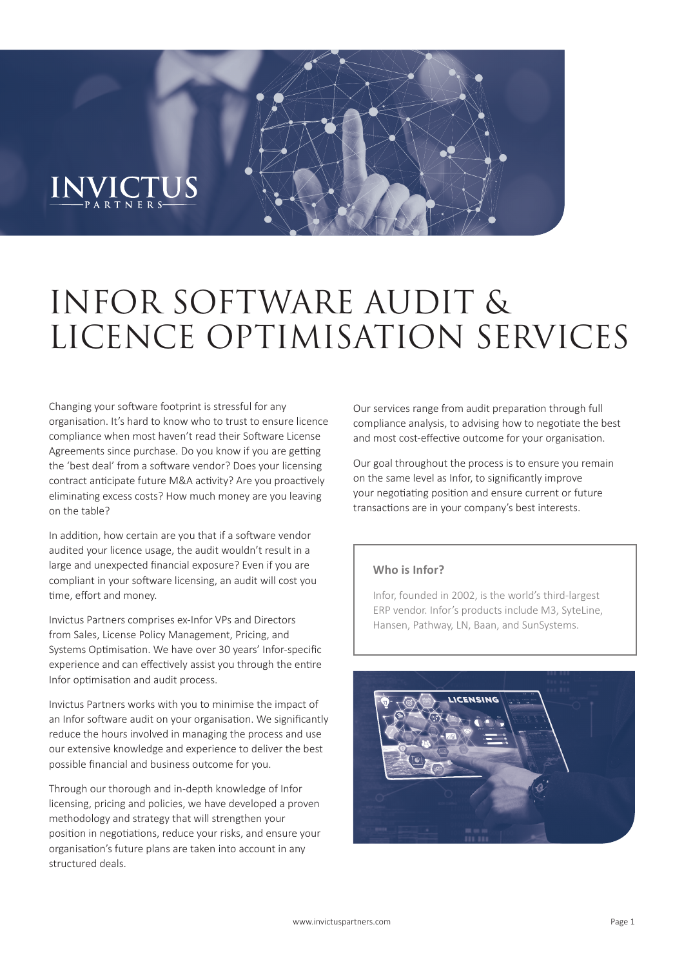# $\frac{INVICTUS}{PAPTNERS}$

## INFOR SOFTWARE AUDIT & LICENCE OPTIMISATION SERVICES

Changing your software footprint is stressful for any organisation. It's hard to know who to trust to ensure licence compliance when most haven't read their Software License Agreements since purchase. Do you know if you are getting the 'best deal' from a software vendor? Does your licensing contract anticipate future M&A activity? Are you proactively eliminating excess costs? How much money are you leaving on the table?

In addition, how certain are you that if a software vendor audited your licence usage, the audit wouldn't result in a large and unexpected financial exposure? Even if you are compliant in your software licensing, an audit will cost you time, effort and money.

Invictus Partners comprises ex-Infor VPs and Directors from Sales, License Policy Management, Pricing, and Systems Optimisation. We have over 30 years' Infor-specific experience and can effectively assist you through the entire Infor optimisation and audit process.

Invictus Partners works with you to minimise the impact of an Infor software audit on your organisation. We significantly reduce the hours involved in managing the process and use our extensive knowledge and experience to deliver the best possible financial and business outcome for you.

Through our thorough and in-depth knowledge of Infor licensing, pricing and policies, we have developed a proven methodology and strategy that will strengthen your position in negotiations, reduce your risks, and ensure your organisation's future plans are taken into account in any structured deals.

Our services range from audit preparation through full compliance analysis, to advising how to negotiate the best and most cost-effective outcome for your organisation.

Our goal throughout the process is to ensure you remain on the same level as Infor, to significantly improve your negotiating position and ensure current or future transactions are in your company's best interests.

#### **Who is Infor?**

Infor, founded in 2002, is the world's third-largest ERP vendor. Infor's products include M3, SyteLine, Hansen, Pathway, LN, Baan, and SunSystems.